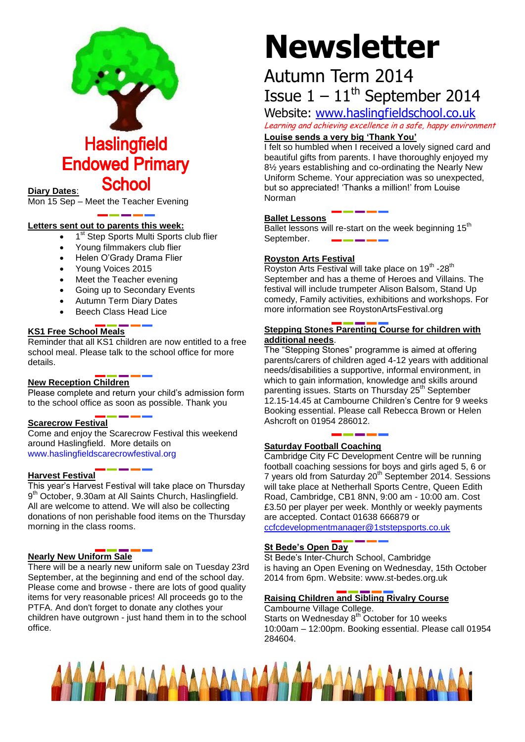

**Haslingfield Endowed Primary School** 

#### **Diary Dates**:

Mon 15 Sep – Meet the Teacher Evening

#### **Letters sent out to parents this week:**

- 1<sup>st</sup> Step Sports Multi Sports club flier
- Young filmmakers club flier
- Helen O'Grady Drama Flier
- Young Voices 2015
- Meet the Teacher evening
- Going up to Secondary Events
- Autumn Term Diary Dates
- Beech Class Head Lice

#### **KS1 Free School Meals**

Reminder that all KS1 children are now entitled to a free school meal. Please talk to the school office for more details.

#### **New Reception Children**

Please complete and return your child's admission form to the school office as soon as possible. Thank you

#### **Scarecrow Festival**

Come and enjoy the Scarecrow Festival this weekend around Haslingfield. More details on [www.haslingfieldscarecrowfestival.org](http://www.haslingfieldscarecrowfestival.org/)

#### **Harvest Festival**

This year's Harvest Festival will take place on Thursday 9<sup>th</sup> October, 9.30am at All Saints Church, Haslingfield. All are welcome to attend. We will also be collecting donations of non perishable food items on the Thursday morning in the class rooms.

#### **Nearly New Uniform Sale**

There will be a nearly new uniform sale on Tuesday 23rd September, at the beginning and end of the school day. Please come and browse - there are lots of good quality items for very reasonable prices! All proceeds go to the PTFA. And don't forget to donate any clothes your children have outgrown - just hand them in to the school office.

# **Newsletter**

# Autumn Term 2014 Issue  $1 - 11$ <sup>th</sup> September 2014

Website: [www.haslingfieldschool.co.uk](http://www.haslingfieldschool.co.uk/)

Learning and achieving excellence in a safe, happy environment

### **Louise sends a very big 'Thank You'**

I felt so humbled when I received a lovely signed card and beautiful gifts from parents. I have thoroughly enjoyed my 8½ years establishing and co-ordinating the Nearly New Uniform Scheme. Your appreciation was so unexpected, but so appreciated! 'Thanks a million!' from Louise Norman

#### **Ballet Lessons**

Ballet lessons will re-start on the week beginning 15<sup>th</sup> September.

#### **Royston Arts Festival**

Royston Arts Festival will take place on 19<sup>th</sup> -28<sup>th</sup> September and has a theme of Heroes and Villains. The festival will include trumpeter Alison Balsom, Stand Up comedy, Family activities, exhibitions and workshops. For more information see RoystonArtsFestival.org

#### **Stepping Stones Parenting Course for children with additional needs**.

The "Stepping Stones" programme is aimed at offering parents/carers of children aged 4-12 years with additional needs/disabilities a supportive, informal environment, in which to gain information, knowledge and skills around parenting issues. Starts on Thursday 25<sup>th</sup> September 12.15-14.45 at Cambourne Children's Centre for 9 weeks Booking essential. Please call Rebecca Brown or Helen Ashcroft on 01954 286012.

#### **Saturday Football Coaching**

Cambridge City FC Development Centre will be running football coaching sessions for boys and girls aged 5, 6 or 7 years old from Saturday 20<sup>th</sup> September 2014. Sessions will take place at Netherhall Sports Centre, Queen Edith Road, Cambridge, CB1 8NN, 9:00 am - 10:00 am. Cost £3.50 per player per week. Monthly or weekly payments are accepted. Contact 01638 666879 or

[ccfcdevelopmentmanager@1ststepsports.co.uk](mailto:ccfcdevelopmentmanager@1ststepsports.co.uk)

#### **St Bede's Open Day**

St Bede's Inter-Church School, Cambridge is having an Open Evening on Wednesday, 15th October 2014 from 6pm. Website: www.st-bedes.org.uk

#### **Raising Children and Sibling Rivalry Course**

Cambourne Village College. Starts on Wednesday  $8<sup>th</sup>$  October for 10 weeks 10:00am – 12:00pm. Booking essential. Please call 01954 284604.